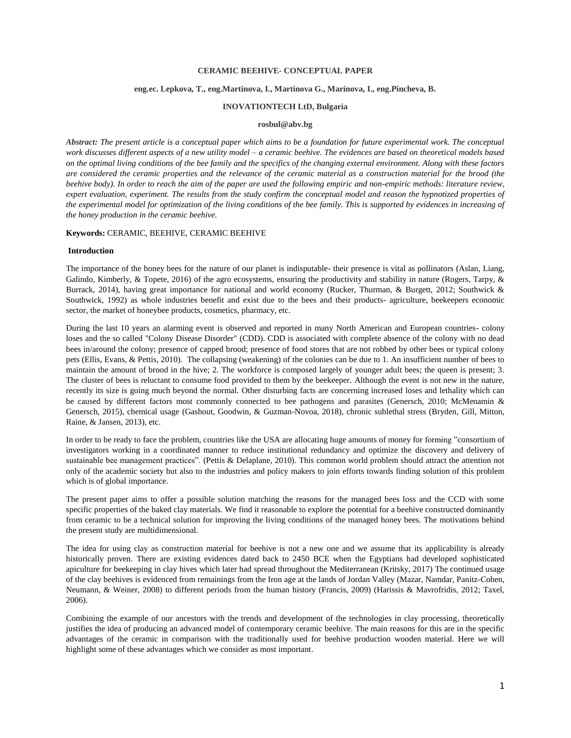### **CERAMIC BEEHIVE- CONCEPTUAL PAPER**

# **eng.ec. Lepkova, T., eng.Martinova, I., Martinova G., Marinova, I., eng.Pincheva, B.**

## **INOVATIONTECH LtD, Bulgaria**

## **rosbul@abv.bg**

*Abstract: The present article is a conceptual paper which aims to be a foundation for future experimental work. The conceptual work discusses different aspects of a new utility model – a ceramic beehive. The evidences are based on theoretical models based on the optimal living conditions of the bee family and the specifics of the changing external environment. Along with these factors are considered the ceramic properties and the relevance of the ceramic material as a construction material for the brood (the beehive body). In order to reach the aim of the paper are used the following empiric and non-empiric methods: literature review, expert evaluation, experiment. The results from the study confirm the conceptual model and reason the hypnotized properties of the experimental model for optimization of the living conditions of the bee family. This is supported by evidences in increasing of the honey production in the ceramic beehive.* 

#### **Keywords:** CERAMIC, BEEHIVE, CERAMIC BEEHIVE

### **Introduction**

The importance of the honey bees for the nature of our planet is indisputable- their presence is vital as pollinators (Aslan, Liang, Galindo, Kimberly, & Topete, 2016) of the agro ecosystems, ensuring the productivity and stability in nature (Rogers, Tarpy, & Burrack, 2014), having great importance for national and world economy (Rucker, Thurman, & Burgett, 2012; Southwick & Southwick, 1992) as whole industries benefit and exist due to the bees and their products- agriculture, beekeepers economic sector, the market of honeybee products, cosmetics, pharmacy, etc.

During the last 10 years an alarming event is observed and reported in many North American and European countries- colony loses and the so called "Colony Disease Disorder" (CDD). CDD is associated with complete absence of the colony with no dead bees in/around the colony; presence of capped brood; presence of food stores that are not robbed by other bees or typical colony pets (Ellis, Evans, & Pettis, 2010). The collapsing (weakening) of the colonies can be due to 1. An insufficient number of bees to maintain the amount of brood in the hive; 2. The workforce is composed largely of younger adult bees; the queen is present; 3. The cluster of bees is reluctant to consume food provided to them by the beekeeper. Although the event is not new in the nature, recently its size is going much beyond the normal. Other disturbing facts are concerning increased loses and lethality which can be caused by different factors most commonly connected to bee pathogens and parasites (Genersch, 2010; McMenamin & Genersch, 2015), chemical usage (Gashout, Goodwin, & Guzman-Novoa, 2018), chronic sublethal stress (Bryden, Gill, Mitton, Raine, & Jansen, 2013), etc.

In order to be ready to face the problem, countries like the USA are allocating huge amounts of money for forming "consortium of investigators working in a coordinated manner to reduce institutional redundancy and optimize the discovery and delivery of sustainable bee management practices". (Pettis & Delaplane, 2010). This common world problem should attract the attention not only of the academic society but also to the industries and policy makers to join efforts towards finding solution of this problem which is of global importance.

The present paper aims to offer a possible solution matching the reasons for the managed bees loss and the CCD with some specific properties of the baked clay materials. We find it reasonable to explore the potential for a beehive constructed dominantly from ceramic to be a technical solution for improving the living conditions of the managed honey bees. The motivations behind the present study are multidimensional.

The idea for using clay as construction material for beehive is not a new one and we assume that its applicability is already historically proven. There are existing evidences dated back to 2450 BCE when the Egyptians had developed sophisticated apiculture for beekeeping in clay hives which later had spread throughout the Mediterranean (Kritsky, 2017) The continued usage of the clay beehives is evidenced from remainings from the Iron age at the lands of Jordan Valley (Mazar, Namdar, Panitz-Cohen, Neumann, & Weiner, 2008) to different periods from the human history (Francis, 2009) (Harissis & Mavrofridis, 2012; Taxel, 2006).

Combining the example of our ancestors with the trends and development of the technologies in clay processing, theoretically justifies the idea of producing an advanced model of contemporary ceramic beehive. The main reasons for this are in the specific advantages of the ceramic in comparison with the traditionally used for beehive production wooden material. Here we will highlight some of these advantages which we consider as most important.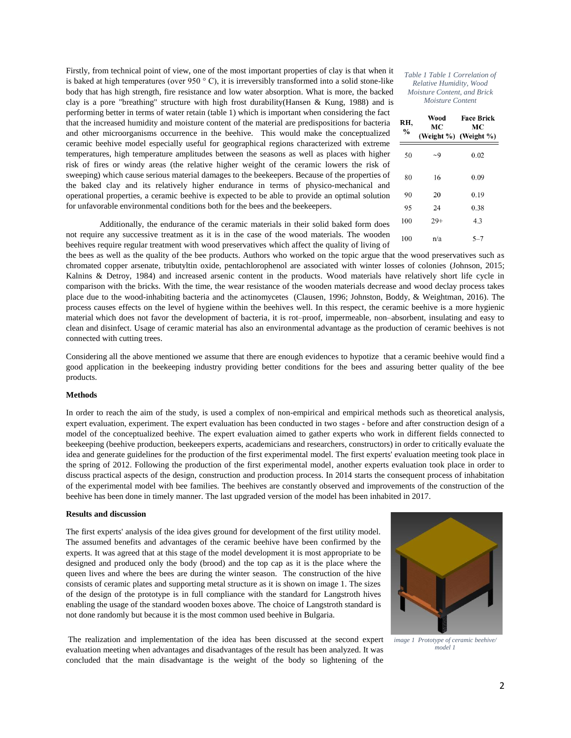Firstly, from technical point of view, one of the most important properties of clay is that when it is baked at high temperatures (over 950  $\degree$  C), it is irreversibly transformed into a solid stone-like body that has high strength, fire resistance and low water absorption. What is more, the backed clay is a pore "breathing" structure with high frost durability(Hansen & Kung, 1988) and is performing better in terms of water retain (table 1) which is important when considering the fact that the increased humidity and moisture content of the material are predispositions for bacteria and other microorganisms occurrence in the beehive. This would make the conceptualized ceramic beehive model especially useful for geographical regions characterized with extreme temperatures, high temperature amplitudes between the seasons as well as places with higher risk of fires or windy areas (the relative higher weight of the ceramic lowers the risk of sweeping) which cause serious material damages to the beekeepers. Because of the properties of the baked clay and its relatively higher endurance in terms of physico-mechanical and operational properties, a ceramic beehive is expected to be able to provide an optimal solution for unfavorable environmental conditions both for the bees and the beekeepers.

Additionally, the endurance of the ceramic materials in their solid baked form does not require any successive treatment as it is in the case of the wood materials. The wooden beehives require regular treatment with wood preservatives which affect the quality of living of

the bees as well as the quality of the bee products. Authors who worked on the topic argue that the wood preservatives such as chromated copper arsenate, tributyltin oxide, pentachlorophenol are associated with winter losses of colonies (Johnson, 2015; Kalnins & Detroy, 1984) and increased arsenic content in the products. Wood materials have relatively short life cycle in comparison with the bricks. With the time, the wear resistance of the wooden materials decrease and wood declay process takes place due to the wood-inhabiting bacteria and the actinomycetes (Clausen, 1996; Johnston, Boddy, & Weightman, 2016). The process causes effects on the level of hygiene within the beehives well. In this respect, the ceramic beehive is a more hygienic material which does not favor the development of bacteria, it is rot–proof, impermeable, non–absorbent, insulating and easy to clean and disinfect. Usage of ceramic material has also an environmental advantage as the production of ceramic beehives is not connected with cutting trees.

Considering all the above mentioned we assume that there are enough evidences to hypotize that a ceramic beehive would find a good application in the beekeeping industry providing better conditions for the bees and assuring better quality of the bee products.

#### **Methods**

In order to reach the aim of the study, is used a complex of non-empirical and empirical methods such as theoretical analysis, expert evaluation, experiment. The expert evaluation has been conducted in two stages - before and after construction design of a model of the conceptualized beehive. The expert evaluation aimed to gather experts who work in different fields connected to beekeeping (beehive production, beekeepers experts, academicians and researchers, constructors) in order to critically evaluate the idea and generate guidelines for the production of the first experimental model. The first experts' evaluation meeting took place in the spring of 2012. Following the production of the first experimental model, another experts evaluation took place in order to discuss practical aspects of the design, construction and production process. In 2014 starts the consequent process of inhabitation of the experimental model with bee families. The beehives are constantly observed and improvements of the construction of the beehive has been done in timely manner. The last upgraded version of the model has been inhabited in 2017.

### **Results and discussion**

The first experts' analysis of the idea gives ground for development of the first utility model. The assumed benefits and advantages of the ceramic beehive have been confirmed by the experts. It was agreed that at this stage of the model development it is most appropriate to be designed and produced only the body (brood) and the top cap as it is the place where the queen lives and where the bees are during the winter season. The construction of the hive consists of ceramic plates and supporting metal structure as it is shown on image 1. The sizes of the design of the prototype is in full compliance with the standard for Langstroth hives enabling the usage of the standard wooden boxes above. The choice of Langstroth standard is not done randomly but because it is the most common used beehive in Bulgaria.

The realization and implementation of the idea has been discussed at the second expert evaluation meeting when advantages and disadvantages of the result has been analyzed. It was concluded that the main disadvantage is the weight of the body so lightening of the

*image 1 Prototype of ceramic beehive/ model 1*

| RH,<br>$\frac{0}{0}$ | Wood<br>MС | Face Brick<br>MС<br>(Weight %) (Weight %) |  |  |
|----------------------|------------|-------------------------------------------|--|--|
| 50                   | $\sim$ 9   | 0.02                                      |  |  |
| 80                   | 16         | 0.09                                      |  |  |
| 90                   | 20         | 0.19                                      |  |  |
| 95                   | 24         | 0.38                                      |  |  |
| 100                  | $29+$      | 4.3                                       |  |  |
| 100                  | n/a        | $5 - 7$                                   |  |  |

*Table 1 Table 1 Correlation of Relative Humidity, Wood Moisture Content, and Brick Moisture Content*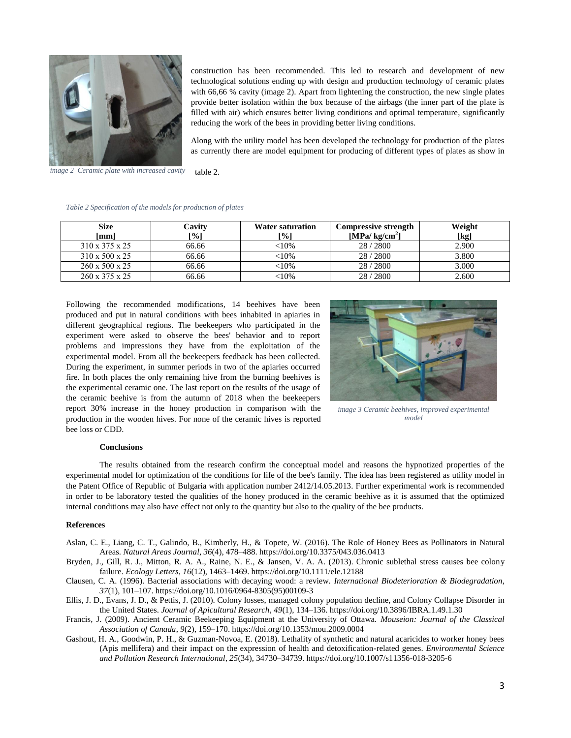

construction has been recommended. This led to research and development of new technological solutions ending up with design and production technology of ceramic plates with 66,66 % cavity (image 2). Apart from lightening the construction, the new single plates provide better isolation within the box because of the airbags (the inner part of the plate is filled with air) which ensures better living conditions and optimal temperature, significantly reducing the work of the bees in providing better living conditions.

Along with the utility model has been developed the technology for production of the plates as currently there are model equipment for producing of different types of plates as show in

table 2. *image 2 Ceramic plate with increased cavity*

| Table 2 Specification of the models for production of plates |  |  |  |
|--------------------------------------------------------------|--|--|--|

| <b>Size</b><br>[mm]        | Cavitv<br>[%] | <b>Water saturation</b><br>-%1 | <b>Compressive strength</b><br>[MPa/ kg/cm <sup>2</sup> ] | Weight<br>[kg] |
|----------------------------|---------------|--------------------------------|-----------------------------------------------------------|----------------|
| 310 x 375 x 25             | 66.66         | $<$ l $0\%$                    | 28/2800                                                   | 2.900          |
| 310 x 500 x 25             | 66.66         | <10%                           | 28/2800                                                   | 3.800          |
| $260 \times 500 \times 25$ | 66.66         | <10%                           | 28/2800                                                   | 3.000          |
| $260 \times 375 \times 25$ | 66.66         | <10%                           | 28/2800                                                   | 2.600          |

Following the recommended modifications, 14 beehives have been produced and put in natural conditions with bees inhabited in apiaries in different geographical regions. The beekeepers who participated in the experiment were asked to observe the bees' behavior and to report problems and impressions they have from the exploitation of the experimental model. From all the beekeepers feedback has been collected. During the experiment, in summer periods in two of the apiaries occurred fire. In both places the only remaining hive from the burning beehives is the experimental ceramic one. The last report on the results of the usage of the ceramic beehive is from the autumn of 2018 when the beekeepers report 30% increase in the honey production in comparison with the production in the wooden hives. For none of the ceramic hives is reported bee loss or CDD.



*image 3 Ceramic beehives, improved experimental model*

## **Conclusions**

The results obtained from the research confirm the conceptual model and reasons the hypnotized properties of the experimental model for optimization of the conditions for life of the bee's family. The idea has been registered as utility model in the Patent Office of Republic of Bulgaria with application number 2412/14.05.2013. Further experimental work is recommended in order to be laboratory tested the qualities of the honey produced in the ceramic beehive as it is assumed that the optimized internal conditions may also have effect not only to the quantity but also to the quality of the bee products.

#### **References**

- Aslan, C. E., Liang, C. T., Galindo, B., Kimberly, H., & Topete, W. (2016). The Role of Honey Bees as Pollinators in Natural Areas. *Natural Areas Journal*, *36*(4), 478–488. https://doi.org/10.3375/043.036.0413
- Bryden, J., Gill, R. J., Mitton, R. A. A., Raine, N. E., & Jansen, V. A. A. (2013). Chronic sublethal stress causes bee colony failure. *Ecology Letters*, *16*(12), 1463–1469. https://doi.org/10.1111/ele.12188
- Clausen, C. A. (1996). Bacterial associations with decaying wood: a review. *International Biodeterioration & Biodegradation*, *37*(1), 101–107. https://doi.org/10.1016/0964-8305(95)00109-3
- Ellis, J. D., Evans, J. D., & Pettis, J. (2010). Colony losses, managed colony population decline, and Colony Collapse Disorder in the United States. *Journal of Apicultural Research*, *49*(1), 134–136. https://doi.org/10.3896/IBRA.1.49.1.30
- Francis, J. (2009). Ancient Ceramic Beekeeping Equipment at the University of Ottawa. *Mouseion: Journal of the Classical Association of Canada*, *9*(2), 159–170. https://doi.org/10.1353/mou.2009.0004
- Gashout, H. A., Goodwin, P. H., & Guzman-Novoa, E. (2018). Lethality of synthetic and natural acaricides to worker honey bees (Apis mellifera) and their impact on the expression of health and detoxification-related genes. *Environmental Science and Pollution Research International*, *25*(34), 34730–34739. https://doi.org/10.1007/s11356-018-3205-6